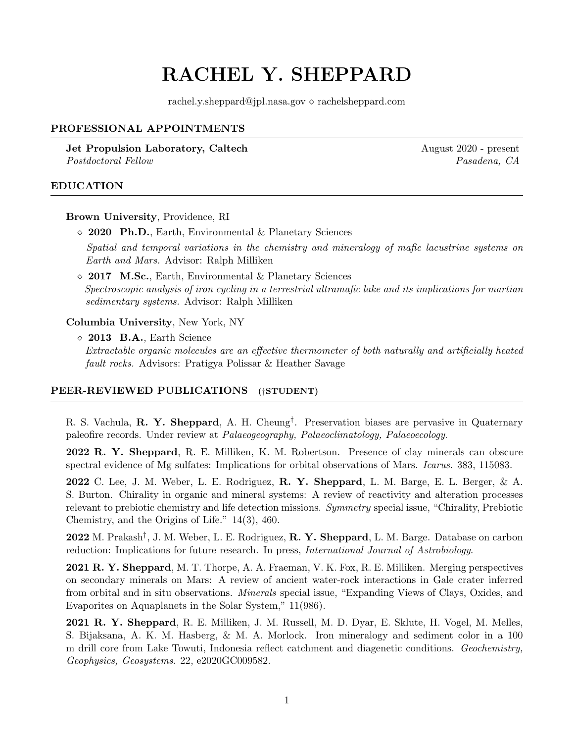# RACHEL Y. SHEPPARD

rachel.y.sheppard@jpl.nasa.gov  $\diamond$  rachelsheppard.com

# PROFESSIONAL APPOINTMENTS

**Jet Propulsion Laboratory, Caltech August 2020 - present August 2020 - present** Postdoctoral Fellow Pasadena, CA

## EDUCATION

Brown University, Providence, RI

2020 Ph.D., Earth, Environmental & Planetary Sciences

Spatial and temporal variations in the chemistry and mineralogy of mafic lacustrine systems on Earth and Mars. Advisor: Ralph Milliken

 $\Diamond$  2017 M.Sc., Earth, Environmental & Planetary Sciences Spectroscopic analysis of iron cycling in a terrestrial ultramafic lake and its implications for martian sedimentary systems. Advisor: Ralph Milliken

Columbia University, New York, NY

 $\Diamond$  2013 B.A., Earth Science Extractable organic molecules are an effective thermometer of both naturally and artificially heated fault rocks. Advisors: Pratigya Polissar & Heather Savage

## PEER-REVIEWED PUBLICATIONS (†STUDENT)

R. S. Vachula, **R. Y. Sheppard**, A. H. Cheung<sup>†</sup>. Preservation biases are pervasive in Quaternary paleofire records. Under review at Palaeogeography, Palaeoclimatology, Palaeoecology.

2022 R. Y. Sheppard, R. E. Milliken, K. M. Robertson. Presence of clay minerals can obscure spectral evidence of Mg sulfates: Implications for orbital observations of Mars. Icarus. 383, 115083.

**2022** C. Lee, J. M. Weber, L. E. Rodriguez, **R. Y. Sheppard**, L. M. Barge, E. L. Berger, & A. S. Burton. Chirality in organic and mineral systems: A review of reactivity and alteration processes relevant to prebiotic chemistry and life detection missions. Symmetry special issue, "Chirality, Prebiotic Chemistry, and the Origins of Life." 14(3), 460.

2022 M. Prakash<sup>†</sup>, J. M. Weber, L. E. Rodriguez, **R. Y. Sheppard**, L. M. Barge. Database on carbon reduction: Implications for future research. In press, *International Journal of Astrobiology*.

2021 R. Y. Sheppard, M. T. Thorpe, A. A. Fraeman, V. K. Fox, R. E. Milliken. Merging perspectives on secondary minerals on Mars: A review of ancient water-rock interactions in Gale crater inferred from orbital and in situ observations. Minerals special issue, "Expanding Views of Clays, Oxides, and Evaporites on Aquaplanets in the Solar System," 11(986).

2021 R. Y. Sheppard, R. E. Milliken, J. M. Russell, M. D. Dyar, E. Sklute, H. Vogel, M. Melles, S. Bijaksana, A. K. M. Hasberg, & M. A. Morlock. Iron mineralogy and sediment color in a 100 m drill core from Lake Towuti, Indonesia reflect catchment and diagenetic conditions. Geochemistry, Geophysics, Geosystems. 22, e2020GC009582.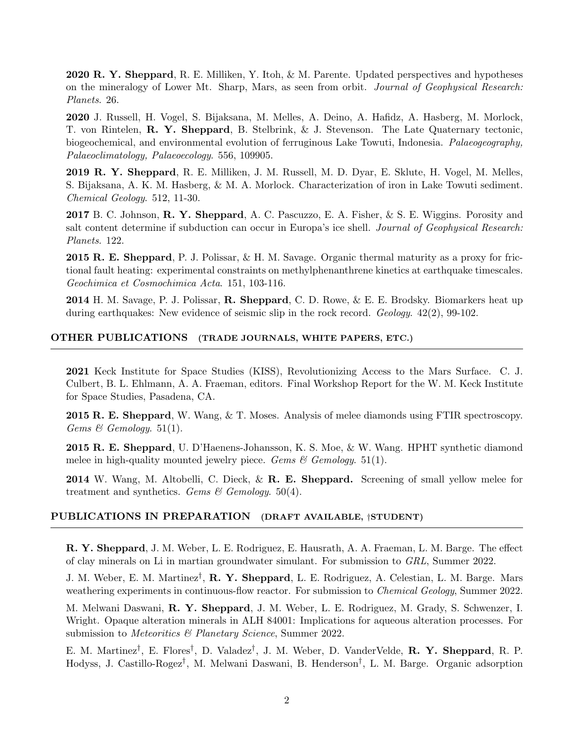2020 R. Y. Sheppard, R. E. Milliken, Y. Itoh, & M. Parente. Updated perspectives and hypotheses on the mineralogy of Lower Mt. Sharp, Mars, as seen from orbit. Journal of Geophysical Research: Planets. 26.

2020 J. Russell, H. Vogel, S. Bijaksana, M. Melles, A. Deino, A. Hafidz, A. Hasberg, M. Morlock, T. von Rintelen, R. Y. Sheppard, B. Stelbrink, & J. Stevenson. The Late Quaternary tectonic, biogeochemical, and environmental evolution of ferruginous Lake Towuti, Indonesia. Palaeogeography, Palaeoclimatology, Palaeoecology. 556, 109905.

2019 R. Y. Sheppard, R. E. Milliken, J. M. Russell, M. D. Dyar, E. Sklute, H. Vogel, M. Melles, S. Bijaksana, A. K. M. Hasberg, & M. A. Morlock. Characterization of iron in Lake Towuti sediment. Chemical Geology. 512, 11-30.

2017 B. C. Johnson, **R. Y. Sheppard**, A. C. Pascuzzo, E. A. Fisher, & S. E. Wiggins. Porosity and salt content determine if subduction can occur in Europa's ice shell. Journal of Geophysical Research: Planets. 122.

2015 R. E. Sheppard, P. J. Polissar, & H. M. Savage. Organic thermal maturity as a proxy for frictional fault heating: experimental constraints on methylphenanthrene kinetics at earthquake timescales. Geochimica et Cosmochimica Acta. 151, 103-116.

2014 H. M. Savage, P. J. Polissar, R. Sheppard, C. D. Rowe, & E. E. Brodsky. Biomarkers heat up during earthquakes: New evidence of seismic slip in the rock record. Geology.  $42(2)$ , 99-102.

#### OTHER PUBLICATIONS (TRADE JOURNALS, WHITE PAPERS, ETC.)

2021 Keck Institute for Space Studies (KISS), Revolutionizing Access to the Mars Surface. C. J. Culbert, B. L. Ehlmann, A. A. Fraeman, editors. Final Workshop Report for the W. M. Keck Institute for Space Studies, Pasadena, CA.

2015 R. E. Sheppard, W. Wang, & T. Moses. Analysis of melee diamonds using FTIR spectroscopy. Gems & Gemology. 51(1).

2015 R. E. Sheppard, U. D'Haenens-Johansson, K. S. Moe, & W. Wang. HPHT synthetic diamond melee in high-quality mounted jewelry piece. Gems  $\mathcal{B}$  Gemology. 51(1).

2014 W. Wang, M. Altobelli, C. Dieck, & R. E. Sheppard. Screening of small yellow melee for treatment and synthetics. Gems & Gemology.  $50(4)$ .

# PUBLICATIONS IN PREPARATION (DRAFT AVAILABLE, †STUDENT)

R. Y. Sheppard, J. M. Weber, L. E. Rodriguez, E. Hausrath, A. A. Fraeman, L. M. Barge. The effect of clay minerals on Li in martian groundwater simulant. For submission to GRL, Summer 2022.

J. M. Weber, E. M. Martinez<sup>†</sup>, **R. Y. Sheppard**, L. E. Rodriguez, A. Celestian, L. M. Barge. Mars weathering experiments in continuous-flow reactor. For submission to *Chemical Geology*, Summer 2022.

M. Melwani Daswani, R. Y. Sheppard, J. M. Weber, L. E. Rodriguez, M. Grady, S. Schwenzer, I. Wright. Opaque alteration minerals in ALH 84001: Implications for aqueous alteration processes. For submission to *Meteoritics* & Planetary Science, Summer 2022.

E. M. Martinez<sup>†</sup>, E. Flores<sup>†</sup>, D. Valadez<sup>†</sup>, J. M. Weber, D. VanderVelde, **R. Y. Sheppard**, R. P. Hodyss, J. Castillo-Rogez† , M. Melwani Daswani, B. Henderson† , L. M. Barge. Organic adsorption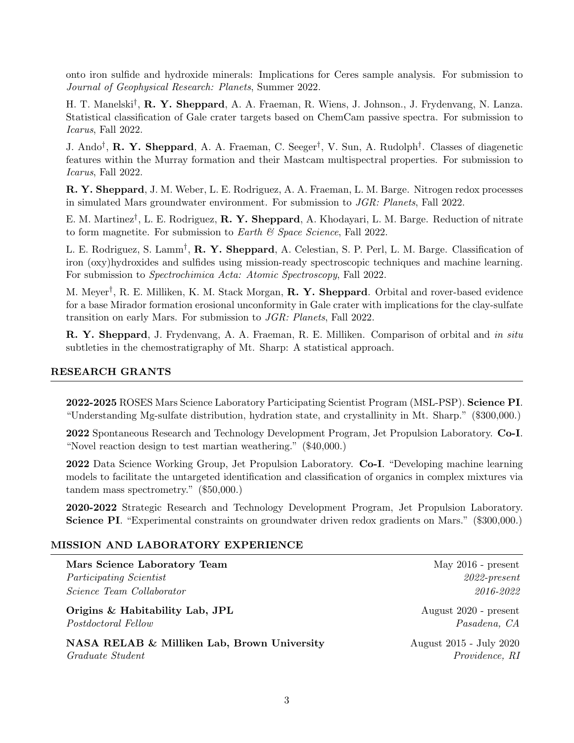onto iron sulfide and hydroxide minerals: Implications for Ceres sample analysis. For submission to Journal of Geophysical Research: Planets, Summer 2022.

H. T. Manelski<sup>†</sup>, **R. Y. Sheppard**, A. A. Fraeman, R. Wiens, J. Johnson., J. Frydenvang, N. Lanza. Statistical classification of Gale crater targets based on ChemCam passive spectra. For submission to Icarus, Fall 2022.

J. Ando<sup>†</sup>, **R. Y. Sheppard**, A. A. Fraeman, C. Seeger<sup>†</sup>, V. Sun, A. Rudolph<sup>†</sup>. Classes of diagenetic features within the Murray formation and their Mastcam multispectral properties. For submission to Icarus, Fall 2022.

R. Y. Sheppard, J. M. Weber, L. E. Rodriguez, A. A. Fraeman, L. M. Barge. Nitrogen redox processes in simulated Mars groundwater environment. For submission to JGR: Planets, Fall 2022.

E. M. Martinez<sup>†</sup>, L. E. Rodriguez, **R. Y. Sheppard**, A. Khodayari, L. M. Barge. Reduction of nitrate to form magnetite. For submission to Earth  $\mathcal{C}$  Space Science, Fall 2022.

L. E. Rodriguez, S. Lamm<sup>†</sup>, **R. Y. Sheppard**, A. Celestian, S. P. Perl, L. M. Barge. Classification of iron (oxy)hydroxides and sulfides using mission-ready spectroscopic techniques and machine learning. For submission to Spectrochimica Acta: Atomic Spectroscopy, Fall 2022.

M. Meyer<sup>†</sup>, R. E. Milliken, K. M. Stack Morgan, **R. Y. Sheppard**. Orbital and rover-based evidence for a base Mirador formation erosional unconformity in Gale crater with implications for the clay-sulfate transition on early Mars. For submission to JGR: Planets, Fall 2022.

R. Y. Sheppard, J. Frydenvang, A. A. Fraeman, R. E. Milliken. Comparison of orbital and in situ subtleties in the chemostratigraphy of Mt. Sharp: A statistical approach.

## RESEARCH GRANTS

2022-2025 ROSES Mars Science Laboratory Participating Scientist Program (MSL-PSP). Science PI. "Understanding Mg-sulfate distribution, hydration state, and crystallinity in Mt. Sharp." (\$300,000.)

2022 Spontaneous Research and Technology Development Program, Jet Propulsion Laboratory. Co-I. "Novel reaction design to test martian weathering." (\$40,000.)

2022 Data Science Working Group, Jet Propulsion Laboratory. Co-I. "Developing machine learning models to facilitate the untargeted identification and classification of organics in complex mixtures via tandem mass spectrometry." (\$50,000.)

2020-2022 Strategic Research and Technology Development Program, Jet Propulsion Laboratory. Science PI. "Experimental constraints on groundwater driven redox gradients on Mars." (\$300,000.)

#### MISSION AND LABORATORY EXPERIENCE

Mars Science Laboratory Team May 2016 - present Participating Scientist 2022-present Science Team Collaborator 2016-2022

**Origins & Habitability Lab, JPL** August 2020 - present Postdoctoral Fellow Pasadena, CA

NASA RELAB & Milliken Lab, Brown University August 2015 - July 2020 Graduate Student Providence, RI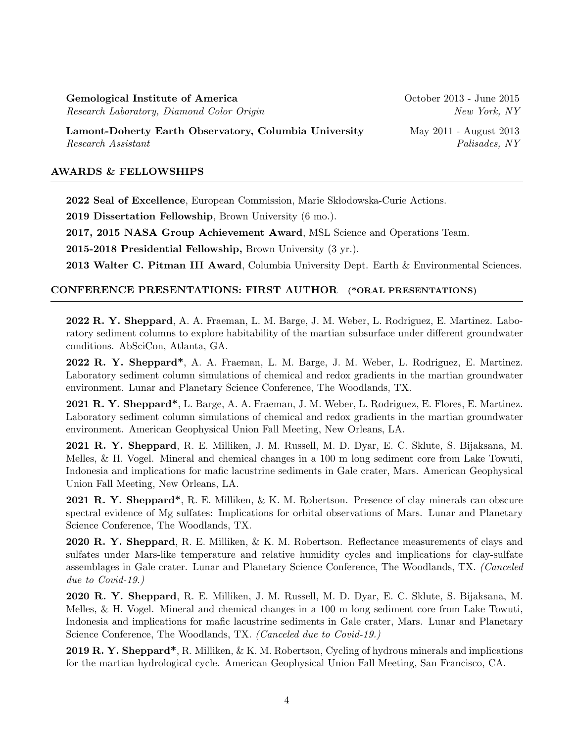Gemological Institute of America Certain Coroleanse October 2013 - June 2015 Research Laboratory, Diamond Color Origin New York, NY

Lamont-Doherty Earth Observatory, Columbia University May 2011 - August 2013 Research Assistant  $Palsades, NY$ 

### AWARDS & FELLOWSHIPS

2022 Seal of Excellence, European Commission, Marie Skłodowska-Curie Actions.

2019 Dissertation Fellowship, Brown University (6 mo.).

2017, 2015 NASA Group Achievement Award, MSL Science and Operations Team.

2015-2018 Presidential Fellowship, Brown University (3 yr.).

2013 Walter C. Pitman III Award, Columbia University Dept. Earth & Environmental Sciences.

## CONFERENCE PRESENTATIONS: FIRST AUTHOR (\*ORAL PRESENTATIONS)

2022 R. Y. Sheppard, A. A. Fraeman, L. M. Barge, J. M. Weber, L. Rodriguez, E. Martinez. Laboratory sediment columns to explore habitability of the martian subsurface under different groundwater conditions. AbSciCon, Atlanta, GA.

2022 R. Y. Sheppard\*, A. A. Fraeman, L. M. Barge, J. M. Weber, L. Rodriguez, E. Martinez. Laboratory sediment column simulations of chemical and redox gradients in the martian groundwater environment. Lunar and Planetary Science Conference, The Woodlands, TX.

2021 R. Y. Sheppard\*, L. Barge, A. A. Fraeman, J. M. Weber, L. Rodriguez, E. Flores, E. Martinez. Laboratory sediment column simulations of chemical and redox gradients in the martian groundwater environment. American Geophysical Union Fall Meeting, New Orleans, LA.

2021 R. Y. Sheppard, R. E. Milliken, J. M. Russell, M. D. Dyar, E. C. Sklute, S. Bijaksana, M. Melles, & H. Vogel. Mineral and chemical changes in a 100 m long sediment core from Lake Towuti, Indonesia and implications for mafic lacustrine sediments in Gale crater, Mars. American Geophysical Union Fall Meeting, New Orleans, LA.

2021 R. Y. Sheppard\*, R. E. Milliken, & K. M. Robertson. Presence of clay minerals can obscure spectral evidence of Mg sulfates: Implications for orbital observations of Mars. Lunar and Planetary Science Conference, The Woodlands, TX.

2020 R. Y. Sheppard, R. E. Milliken, & K. M. Robertson. Reflectance measurements of clays and sulfates under Mars-like temperature and relative humidity cycles and implications for clay-sulfate assemblages in Gale crater. Lunar and Planetary Science Conference, The Woodlands, TX. (Canceled due to Covid-19.)

2020 R. Y. Sheppard, R. E. Milliken, J. M. Russell, M. D. Dyar, E. C. Sklute, S. Bijaksana, M. Melles, & H. Vogel. Mineral and chemical changes in a 100 m long sediment core from Lake Towuti, Indonesia and implications for mafic lacustrine sediments in Gale crater, Mars. Lunar and Planetary Science Conference, The Woodlands, TX. (Canceled due to Covid-19.)

2019 R. Y. Sheppard\*, R. Milliken, & K. M. Robertson, Cycling of hydrous minerals and implications for the martian hydrological cycle. American Geophysical Union Fall Meeting, San Francisco, CA.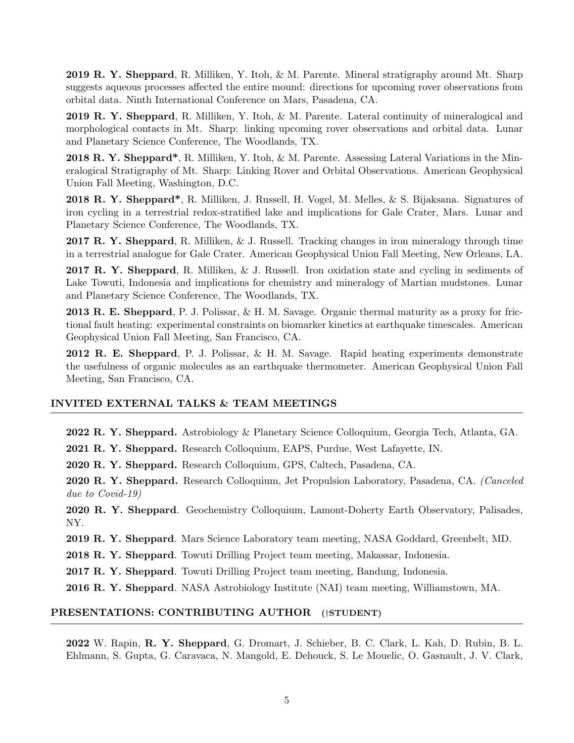2019 R. Y. Sheppard, R. Milliken, Y. Itoh, & M. Parente. Mineral stratigraphy around Mt. Sharp suggests aqueous processes affected the entire mound: directions for upcoming rover observations from orbital data. Ninth International Conference on Mars, Pasadena, CA.

2019 R. Y. Sheppard, R. Milliken, Y. Itoh, & M. Parente. Lateral continuity of mineralogical and morphological contacts in Mt. Sharp: linking upcoming rover observations and orbital data. Lunar and Planetary Science Conference, The Woodlands, TX.

2018 R. Y. Sheppard\*, R. Milliken, Y. Itoh, & M. Parente. Assessing Lateral Variations in the Mineralogical Stratigraphy of Mt. Sharp: Linking Rover and Orbital Observations. American Geophysical Union Fall Meeting, Washington, D.C.

2018 R. Y. Sheppard\*, R. Milliken, J. Russell, H. Vogel, M. Melles, & S. Bijaksana. Signatures of iron cycling in a terrestrial redox-stratified lake and implications for Gale Crater, Mars. Lunar and Planetary Science Conference, The Woodlands, TX.

2017 R. Y. Sheppard, R. Milliken, & J. Russell. Tracking changes in iron mineralogy through time in a terrestrial analogue for Gale Crater. American Geophysical Union Fall Meeting, New Orleans, LA.

2017 R. Y. Sheppard, R. Milliken, & J. Russell. Iron oxidation state and cycling in sediments of Lake Towuti, Indonesia and implications for chemistry and mineralogy of Martian mudstones. Lunar and Planetary Science Conference, The Woodlands, TX.

2013 R. E. Sheppard, P. J. Polissar, & H. M. Savage. Organic thermal maturity as a proxy for frictional fault heating: experimental constraints on biomarker kinetics at earthquake timescales. American Geophysical Union Fall Meeting, San Francisco, CA.

2012 R. E. Sheppard, P. J. Polissar, & H. M. Savage. Rapid heating experiments demonstrate the usefulness of organic molecules as an earthquake thermometer. American Geophysical Union Fall Meeting, San Francisco, CA.

# INVITED EXTERNAL TALKS & TEAM MEETINGS

2022 R. Y. Sheppard. Astrobiology & Planetary Science Colloquium, Georgia Tech, Atlanta, GA.

2021 R. Y. Sheppard. Research Colloquium, EAPS, Purdue, West Lafayette, IN.

2020 R. Y. Sheppard. Research Colloquium, GPS, Caltech, Pasadena, CA.

2020 R. Y. Sheppard. Research Colloquium, Jet Propulsion Laboratory, Pasadena, CA. (Canceled due to Covid-19)

2020 R. Y. Sheppard. Geochemistry Colloquium, Lamont-Doherty Earth Observatory, Palisades, NY.

2019 R. Y. Sheppard. Mars Science Laboratory team meeting, NASA Goddard, Greenbelt, MD.

2018 R. Y. Sheppard. Towuti Drilling Project team meeting, Makassar, Indonesia.

2017 R. Y. Sheppard. Towuti Drilling Project team meeting, Bandung, Indonesia.

2016 R. Y. Sheppard. NASA Astrobiology Institute (NAI) team meeting, Williamstown, MA.

#### PRESENTATIONS: CONTRIBUTING AUTHOR (†STUDENT)

2022 W. Rapin, R. Y. Sheppard, G. Dromart, J. Schieber, B. C. Clark, L. Kah, D. Rubin, B. L. Ehlmann, S. Gupta, G. Caravaca, N. Mangold, E. Dehouck, S. Le Mouelic, O. Gasnault, J. V. Clark,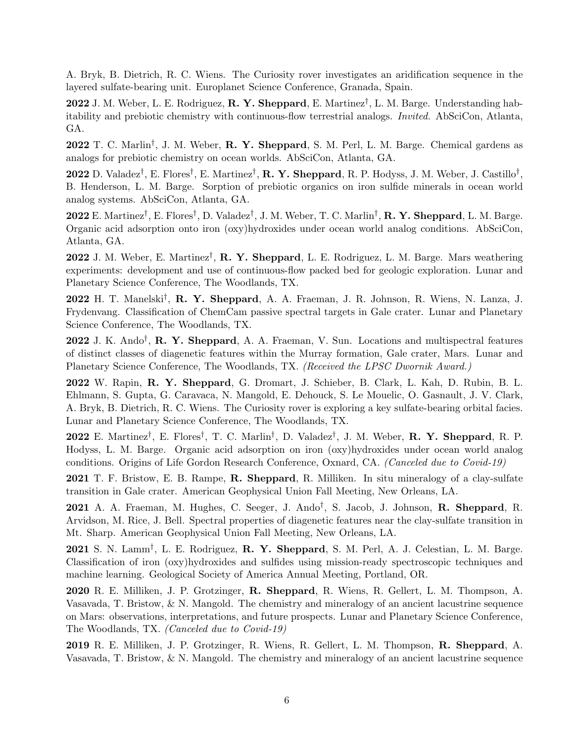A. Bryk, B. Dietrich, R. C. Wiens. The Curiosity rover investigates an aridification sequence in the layered sulfate-bearing unit. Europlanet Science Conference, Granada, Spain.

2022 J. M. Weber, L. E. Rodriguez, R. Y. Sheppard, E. Martinez<sup>†</sup>, L. M. Barge. Understanding habitability and prebiotic chemistry with continuous-flow terrestrial analogs. Invited. AbSciCon, Atlanta, GA.

2022 T. C. Marlin<sup>†</sup>, J. M. Weber, R. Y. Sheppard, S. M. Perl, L. M. Barge. Chemical gardens as analogs for prebiotic chemistry on ocean worlds. AbSciCon, Atlanta, GA.

2022 D. Valadez<sup>†</sup>, E. Flores<sup>†</sup>, E. Martinez<sup>†</sup>, **R. Y. Sheppard**, R. P. Hodyss, J. M. Weber, J. Castillo<sup>†</sup>, B. Henderson, L. M. Barge. Sorption of prebiotic organics on iron sulfide minerals in ocean world analog systems. AbSciCon, Atlanta, GA.

2022 E. Martinez<sup>†</sup>, E. Flores<sup>†</sup>, D. Valadez<sup>†</sup>, J. M. Weber, T. C. Marlin<sup>†</sup>, **R. Y. Sheppard**, L. M. Barge. Organic acid adsorption onto iron (oxy)hydroxides under ocean world analog conditions. AbSciCon, Atlanta, GA.

2022 J. M. Weber, E. Martinez<sup>†</sup>, **R. Y. Sheppard**, L. E. Rodriguez, L. M. Barge. Mars weathering experiments: development and use of continuous-flow packed bed for geologic exploration. Lunar and Planetary Science Conference, The Woodlands, TX.

2022 H. T. Manelski† , R. Y. Sheppard, A. A. Fraeman, J. R. Johnson, R. Wiens, N. Lanza, J. Frydenvang. Classification of ChemCam passive spectral targets in Gale crater. Lunar and Planetary Science Conference, The Woodlands, TX.

 $2022$  J. K. Ando<sup>†</sup>, **R. Y. Sheppard**, A. A. Fraeman, V. Sun. Locations and multispectral features of distinct classes of diagenetic features within the Murray formation, Gale crater, Mars. Lunar and Planetary Science Conference, The Woodlands, TX. (Received the LPSC Dwornik Award.)

2022 W. Rapin, R. Y. Sheppard, G. Dromart, J. Schieber, B. Clark, L. Kah, D. Rubin, B. L. Ehlmann, S. Gupta, G. Caravaca, N. Mangold, E. Dehouck, S. Le Mouelic, O. Gasnault, J. V. Clark, A. Bryk, B. Dietrich, R. C. Wiens. The Curiosity rover is exploring a key sulfate-bearing orbital facies. Lunar and Planetary Science Conference, The Woodlands, TX.

2022 E. Martinez<sup>†</sup>, E. Flores<sup>†</sup>, T. C. Marlin<sup>†</sup>, D. Valadez<sup>†</sup>, J. M. Weber, **R. Y. Sheppard**, R. P. Hodyss, L. M. Barge. Organic acid adsorption on iron (oxy)hydroxides under ocean world analog conditions. Origins of Life Gordon Research Conference, Oxnard, CA. (Canceled due to Covid-19)

2021 T. F. Bristow, E. B. Rampe, R. Sheppard, R. Milliken. In situ mineralogy of a clay-sulfate transition in Gale crater. American Geophysical Union Fall Meeting, New Orleans, LA.

2021 A. A. Fraeman, M. Hughes, C. Seeger, J. Ando<sup>†</sup>, S. Jacob, J. Johnson, R. Sheppard, R. Arvidson, M. Rice, J. Bell. Spectral properties of diagenetic features near the clay-sulfate transition in Mt. Sharp. American Geophysical Union Fall Meeting, New Orleans, LA.

 $2021$  S. N. Lamm<sup>†</sup>, L. E. Rodriguez, R. Y. Sheppard, S. M. Perl, A. J. Celestian, L. M. Barge. Classification of iron (oxy)hydroxides and sulfides using mission-ready spectroscopic techniques and machine learning. Geological Society of America Annual Meeting, Portland, OR.

2020 R. E. Milliken, J. P. Grotzinger, R. Sheppard, R. Wiens, R. Gellert, L. M. Thompson, A. Vasavada, T. Bristow, & N. Mangold. The chemistry and mineralogy of an ancient lacustrine sequence on Mars: observations, interpretations, and future prospects. Lunar and Planetary Science Conference, The Woodlands, TX. (Canceled due to Covid-19)

2019 R. E. Milliken, J. P. Grotzinger, R. Wiens, R. Gellert, L. M. Thompson, R. Sheppard, A. Vasavada, T. Bristow, & N. Mangold. The chemistry and mineralogy of an ancient lacustrine sequence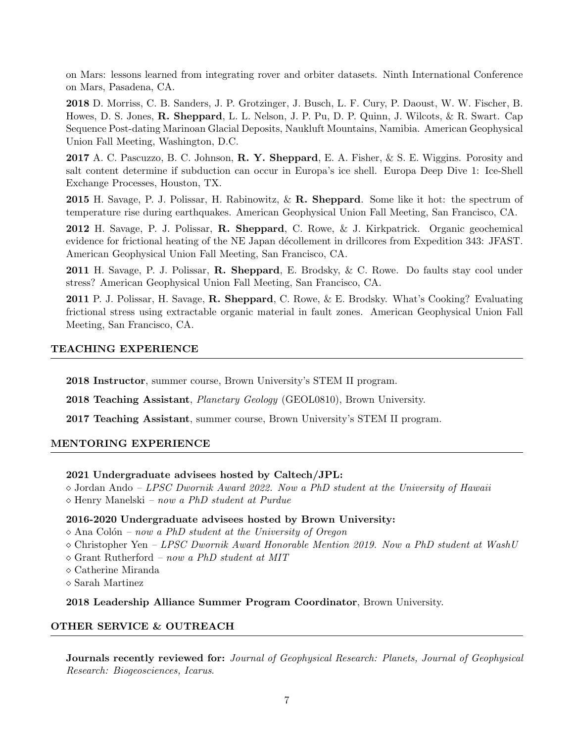on Mars: lessons learned from integrating rover and orbiter datasets. Ninth International Conference on Mars, Pasadena, CA.

2018 D. Morriss, C. B. Sanders, J. P. Grotzinger, J. Busch, L. F. Cury, P. Daoust, W. W. Fischer, B. Howes, D. S. Jones, R. Sheppard, L. L. Nelson, J. P. Pu, D. P. Quinn, J. Wilcots, & R. Swart. Cap Sequence Post-dating Marinoan Glacial Deposits, Naukluft Mountains, Namibia. American Geophysical Union Fall Meeting, Washington, D.C.

2017 A. C. Pascuzzo, B. C. Johnson, R. Y. Sheppard, E. A. Fisher, & S. E. Wiggins. Porosity and salt content determine if subduction can occur in Europa's ice shell. Europa Deep Dive 1: Ice-Shell Exchange Processes, Houston, TX.

**2015** H. Savage, P. J. Polissar, H. Rabinowitz,  $\&\mathbf{R}$ . Sheppard. Some like it hot: the spectrum of temperature rise during earthquakes. American Geophysical Union Fall Meeting, San Francisco, CA.

2012 H. Savage, P. J. Polissar, R. Sheppard, C. Rowe, & J. Kirkpatrick. Organic geochemical evidence for frictional heating of the NE Japan décollement in drillcores from Expedition 343: JFAST. American Geophysical Union Fall Meeting, San Francisco, CA.

2011 H. Savage, P. J. Polissar, R. Sheppard, E. Brodsky, & C. Rowe. Do faults stay cool under stress? American Geophysical Union Fall Meeting, San Francisco, CA.

2011 P. J. Polissar, H. Savage, R. Sheppard, C. Rowe, & E. Brodsky. What's Cooking? Evaluating frictional stress using extractable organic material in fault zones. American Geophysical Union Fall Meeting, San Francisco, CA.

# TEACHING EXPERIENCE

2018 Instructor, summer course, Brown University's STEM II program.

2018 Teaching Assistant, Planetary Geology (GEOL0810), Brown University.

2017 Teaching Assistant, summer course, Brown University's STEM II program.

## MENTORING EXPERIENCE

#### 2021 Undergraduate advisees hosted by Caltech/JPL:

 $\Diamond$  Jordan Ando – LPSC Dwornik Award 2022. Now a PhD student at the University of Hawaii  $\Diamond$  Henry Manelski – now a PhD student at Purdue

#### 2016-2020 Undergraduate advisees hosted by Brown University:

 $\Diamond$  Ana Colón – now a PhD student at the University of Oregon

- $\Diamond$  Christopher Yen LPSC Dwornik Award Honorable Mention 2019. Now a PhD student at WashU
- $\Diamond$  Grant Rutherford now a PhD student at MIT
- Catherine Miranda
- $\diamond$  Sarah Martinez

2018 Leadership Alliance Summer Program Coordinator, Brown University.

## OTHER SERVICE & OUTREACH

Journals recently reviewed for: Journal of Geophysical Research: Planets, Journal of Geophysical Research: Biogeosciences, Icarus.